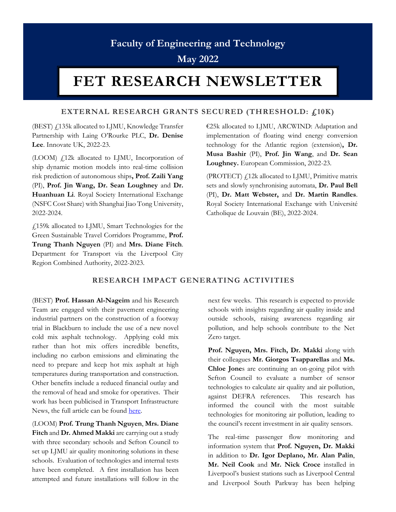# **Faculty of Engineering and Technology**

**May 2022**

# **FET RESEARCH NEWSLETTER**

## **EXTERNAL RESEARCH GRANTS SECURED (THRESHOLD: £10K)**

(BEST)  $f<sub>1</sub>$ 135k allocated to LJMU, Knowledge Transfer Partnership with Laing O'Rourke PLC, **Dr. Denise Lee**. Innovate UK, 2022-23.

(LOOM) £12k allocated to LJMU, Incorporation of ship dynamic motion models into real-time collision risk prediction of autonomous ships**, Prof. Zaili Yang** (PI), **Prof. Jin Wang, Dr. Sean Loughney** and **Dr. Huanhuan Li**. Royal Society International Exchange (NSFC Cost Share) with Shanghai Jiao Tong University, 2022-2024.

£159k allocated to LJMU, Smart Technologies for the Green Sustainable Travel Corridors Programme, **Prof. Trung Thanh Nguyen** (PI) and **Mrs. Diane Fitch**. Department for Transport via the Liverpool City Region Combined Authority, 2022-2023.

€25k allocated to LJMU, ARCWIND: Adaptation and implementation of floating wind energy conversion technology for the Atlantic region (extension)**, Dr. Musa Bashir** (PI), **Prof. Jin Wang**, and **Dr. Sean Loughney.** European Commission, 2022-23.

(PROTECT)  $f_1$ 12k allocated to LJMU, Primitive matrix sets and slowly synchronising automata, **Dr. Paul Bell** (PI), **Dr. Matt Webster,** and **Dr. Martin Randles**. Royal Society International Exchange with Université Catholique de Louvain (BE), 2022-2024.

#### **RESEARCH IMPACT GENERATING ACTIVITIES**

(BEST) **Prof. Hassan Al-Nageim** and his Research Team are engaged with their pavement engineering industrial partners on the construction of a footway trial in Blackburn to include the use of a new novel cold mix asphalt technology. Applying cold mix rather than hot mix offers incredible benefits, including no carbon emissions and eliminating the need to prepare and keep hot mix asphalt at high temperatures during transportation and construction. Other benefits include a reduced financial outlay and the removal of head and smoke for operatives. Their work has been publicised in Transport Infrastructure News, the full article can be found [here.](https://www.transportinfrastructurenews.com/2022/02/15/lancashire-town-to-test-road-treatment-for-trench-reinstatements/) 

(LOOM) **Prof. Trung Thanh Nguyen**, **Mrs. Diane Fitch** and **Dr. Ahmed Makki** are carrying out a study with three secondary schools and Sefton Council to set up LJMU air quality monitoring solutions in these schools. Evaluation of technologies and internal tests have been completed. A first installation has been attempted and future installations will follow in the

next few weeks. This research is expected to provide schools with insights regarding air quality inside and outside schools, raising awareness regarding air pollution, and help schools contribute to the Net Zero target.

**Prof. Nguyen, Mrs. Fitch, Dr. Makki** along with their colleagues **Mr. Giorgos Tsapparellas** and **Ms. Chloe Jone**s are continuing an on-going pilot with Sefton Council to evaluate a number of sensor technologies to calculate air quality and air pollution, against DEFRA references. This research has informed the council with the most suitable technologies for monitoring air pollution, leading to the council's recent investment in air quality sensors.

The real-time passenger flow monitoring and information system that **Prof. Nguyen, Dr. Makki**  in addition to **Dr. Igor Deplano, Mr. Alan Palin**, **Mr. Neil Cook** and **Mr. Nick Croce** installed in Liverpool's busiest stations such as Liverpool Central and Liverpool South Parkway has been helping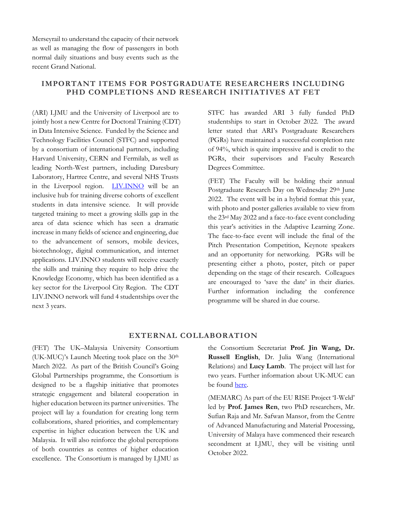Merseyrail to understand the capacity of their network as well as managing the flow of passengers in both normal daily situations and busy events such as the recent Grand National.

# **IMPORTANT ITEMS FOR POSTGRADUATE RESEARCHERS INCLUDING PHD COMPLETIONS AND RESEARCH INITIATIVES AT FET**

(ARI) LJMU and the University of Liverpool are to jointly host a new Centre for Doctoral Training (CDT) in Data Intensive Science. Funded by the Science and Technology Facilities Council (STFC) and supported by a consortium of international partners, including Harvard University, CERN and Fermilab, as well as leading North-West partners, including Daresbury Laboratory, Hartree Centre, and several NHS Trusts in the Liverpool region. [LIV.INNO](https://www.liverpool.ac.uk/centre-for-doctoral-training-for-innovation-in-data-intensive-science/) will be an inclusive hub for training diverse cohorts of excellent students in data intensive science. It will provide targeted training to meet a growing skills gap in the area of data science which has seen a dramatic increase in many fields of science and engineering, due to the advancement of sensors, mobile devices, biotechnology, digital communication, and internet applications. LIV.INNO students will receive exactly the skills and training they require to help drive the Knowledge Economy, which has been identified as a key sector for the Liverpool City Region. The CDT LIV.INNO network will fund 4 studentships over the next 3 years.

STFC has awarded ARI 3 fully funded PhD studentships to start in October 2022. The award letter stated that ARI's Postgraduate Researchers (PGRs) have maintained a successful completion rate of 94%, which is quite impressive and is credit to the PGRs, their supervisors and Faculty Research Degrees Committee.

(FET) The Faculty will be holding their annual Postgraduate Research Day on Wednesday 29th June 2022. The event will be in a hybrid format this year, with photo and poster galleries available to view from the 23rd May 2022 and a face-to-face event concluding this year's activities in the Adaptive Learning Zone. The face-to-face event will include the final of the Pitch Presentation Competition, Keynote speakers and an opportunity for networking. PGRs will be presenting either a photo, poster, pitch or paper depending on the stage of their research. Colleagues are encouraged to 'save the date' in their diaries. Further information including the conference programme will be shared in due course.

#### **EXTERNAL COLLABORATION**

(FET) The UK–Malaysia University Consortium (UK-MUC)'s Launch Meeting took place on the 30th March 2022. As part of the British Council's Going Global Partnerships programme, the Consortium is designed to be a flagship initiative that promotes strategic engagement and bilateral cooperation in higher education between its partner universities. The project will lay a foundation for creating long term collaborations, shared priorities, and complementary expertise in higher education between the UK and Malaysia. It will also reinforce the global perceptions of both countries as centres of higher education excellence. The Consortium is managed by LJMU as

the Consortium Secretariat **Prof. Jin Wang, Dr. Russell English**, Dr. Julia Wang (International Relations) and **Lucy Lamb**. The project will last for two years. Further information about UK-MUC can be found [here.](https://www.ljmu.ac.uk/microsites/uk-malaysia-university-consortium)

(MEMARC) As part of the EU RISE Project 'I-Weld' led by **Prof. James Ren**, two PhD researchers, Mr. Sufian Raja and Mr. Safwan Mansor, from the Centre of Advanced Manufacturing and Material Processing, University of Malaya have commenced their research secondment at LJMU, they will be visiting until October 2022.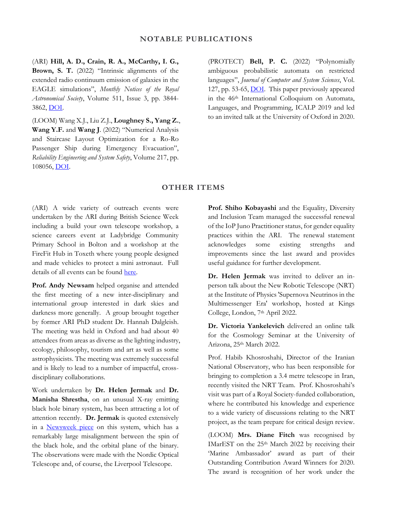(ARI) **Hill, A. D., Crain, R. A., McCarthy, I. G., Brown, S. T.** (2022) "Intrinsic alignments of the extended radio continuum emission of galaxies in the EAGLE simulations", *Monthly Notices of the Royal Astronomical Society*, Volume 511, Issue 3, pp. 3844- 3862, [DOI.](https://academic.oup.com/mnras/article-abstract/511/3/3844/6521457?redirectedFrom=fulltext&login=false) 

(LOOM) Wang X.J., Liu Z.J., **Loughney S., Yang Z.**, **Wang Y.F.** and **Wang J**. (2022) "Numerical Analysis and Staircase Layout Optimization for a Ro-Ro Passenger Ship during Emergency Evacuation", *Reliability Engineering and System Safety*, Volume 217, pp. 108056, [DOI.](https://www.sciencedirect.com/science/article/abs/pii/S0951832021005585#!)

(PROTECT) **Bell, P. C.** (2022) "Polynomially ambiguous probabilistic automata on restricted languages", *Journal of Computer and System Sciences*, Vol. 127, pp. 53-65, **DOI**. This paper previously appeared in the 46th International Colloquium on Automata, Languages, and Programming, ICALP 2019 and led to an invited talk at the University of Oxford in 2020.

#### **OTHER ITEMS**

(ARI) A wide variety of outreach events were undertaken by the ARI during British Science Week including a build your own telescope workshop, a science careers event at Ladybridge Community Primary School in Bolton and a workshop at the FireFit Hub in Toxeth where young people designed and made vehicles to protect a mini astronaut. Full details of all events can be found [here.](https://www.ljmu.ac.uk/about-us/news/articles/2022/3/18/making-space-for-women-to-thrive-in-astrophysics) 

**Prof. Andy Newsam** helped organise and attended the first meeting of a new inter-disciplinary and international group interested in dark skies and darkness more generally. A group brought together by former ARI PhD student Dr. Hannah Dalgleish. The meeting was held in Oxford and had about 40 attendees from areas as diverse as the lighting industry, ecology, philosophy, tourism and art as well as some astrophysicists. The meeting was extremely successful and is likely to lead to a number of impactful, crossdisciplinary collaborations.

Work undertaken by **Dr. Helen Jermak** and **Dr. Manisha Shrestha**, on an unusual X-ray emitting black hole binary system, has been attracting a lot of attention recently. **Dr. Jermak** is quoted extensively in a [Newsweek piece](https://www.newsweek.com/most-tilted-black-hole-ever-change-what-we-know-how-form-maxi-j182070-1682152?fbclid=IwAR0NS-abzy9g1wb7Lj6Jb3CPYruaV9clLntvPDfvVvfORekCAPj5JgbHYQU) on this system, which has a remarkably large misalignment between the spin of the black hole, and the orbital plane of the binary. The observations were made with the Nordic Optical Telescope and, of course, the Liverpool Telescope.

**Prof. Shiho Kobayashi** and the Equality, Diversity and Inclusion Team managed the successful renewal of the IoP Juno Practitioner status, for gender equality practices within the ARI. The renewal statement acknowledges some existing strengths and improvements since the last award and provides useful guidance for further development.

**Dr. Helen Jermak** was invited to deliver an inperson talk about the New Robotic Telescope (NRT) at the Institute of Physics 'Supernova Neutrinos in the Multimessenger Era' workshop, hosted at Kings College, London, 7th April 2022.

**Dr. Victoria Yankelevich** delivered an online talk for the Cosmology Seminar at the University of Arizona, 25th March 2022.

Prof. Habib Khosroshahi, Director of the Iranian National Observatory, who has been responsible for bringing to completion a 3.4 metre telescope in Iran, recently visited the NRT Team. Prof. Khosroshahi's visit was part of a Royal Society-funded collaboration, where he contributed his knowledge and experience to a wide variety of discussions relating to the NRT project, as the team prepare for critical design review.

(LOOM) **Mrs. Diane Fitch** was recognised by IMarEST on the 25<sup>th</sup> March 2022 by receiving their 'Marine Ambassador' award as part of their Outstanding Contribution Award Winners for 2020. The award is recognition of her work under the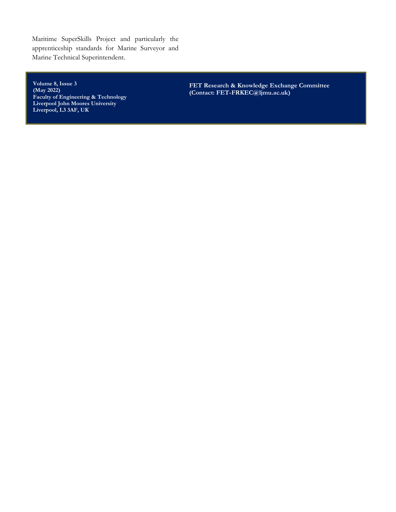Maritime SuperSkills Project and particularly the apprenticeship standards for Marine Surveyor and Marine Technical Superintendent.

**Volume 8, Issue 3 (May 2022) Faculty of Engineering & Technology Liverpool John Moores University Liverpool, L3 3AF, UK**

**FET Research & Knowledge Exchange Committee (Contact: FET-FRKEC@ljmu.ac.uk)**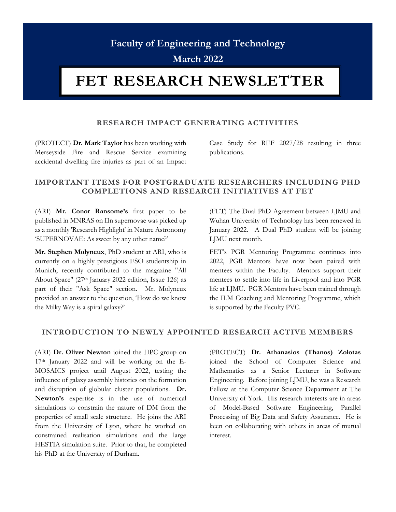# **Faculty of Engineering and Technology**

**March 2022**

# **FET RESEARCH NEWSLETTER**

## **RESEARCH IMPACT GENERATING ACTIVITIES**

(PROTECT) **Dr. Mark Taylor** has been working with Merseyside Fire and Rescue Service examining accidental dwelling fire injuries as part of an Impact Case Study for REF 2027/28 resulting in three publications.

# **IMPORTANT ITEMS FOR POSTGRADUATE RESEARCHERS INCLUDI NG PHD COMPLETIONS AND RESEARCH INITIATIVES AT FET**

(ARI) **Mr. Conor Ransome's** first paper to be published in MNRAS on IIn supernovae was picked up as a monthly 'Research Highlight' in Nature Astronomy 'SUPERNOVAE: As sweet by any other name?'

**Mr. Stephen Molyneux**, PhD student at ARI, who is currently on a highly prestigious ESO studentship in Munich, recently contributed to the magazine "All About Space" (27th January 2022 edition, Issue 126) as part of their "Ask Space" section. Mr. Molyneux provided an answer to the question, 'How do we know the Milky Way is a spiral galaxy?'

(FET) The Dual PhD Agreement between LJMU and Wuhan University of Technology has been renewed in January 2022. A Dual PhD student will be joining LJMU next month.

FET's PGR Mentoring Programme continues into 2022, PGR Mentors have now been paired with mentees within the Faculty. Mentors support their mentees to settle into life in Liverpool and into PGR life at LJMU. PGR Mentors have been trained through the ILM Coaching and Mentoring Programme, which is supported by the Faculty PVC.

## **INTRODUCTION TO NEWLY APPOINTED RESEARCH ACTIVE MEMBERS**

(ARI) **Dr. Oliver Newton** joined the HPC group on 17th January 2022 and will be working on the E-MOSAICS project until August 2022, testing the influence of galaxy assembly histories on the formation and disruption of globular cluster populations. **Dr. Newton's** expertise is in the use of numerical simulations to constrain the nature of DM from the properties of small scale structure. He joins the ARI from the University of Lyon, where he worked on constrained realisation simulations and the large HESTIA simulation suite. Prior to that, he completed his PhD at the University of Durham.

(PROTECT) **Dr. Athanasios (Thanos) Zolotas** joined the School of Computer Science and Mathematics as a Senior Lecturer in Software Engineering. Before joining LJMU, he was a Research Fellow at the Computer Science Department at The University of York. His research interests are in areas of Model-Based Software Engineering, Parallel Processing of Big Data and Safety Assurance. He is keen on collaborating with others in areas of mutual interest.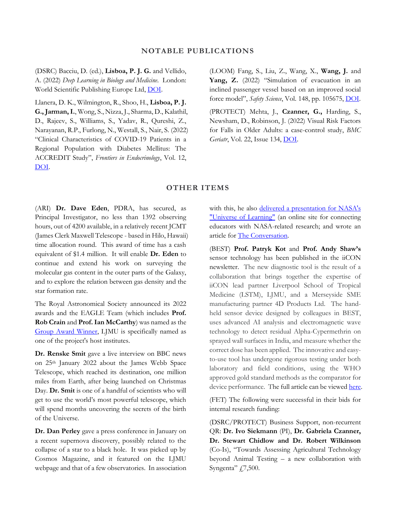#### **NOTABLE PUBLICATIONS**

(DSRC) Bacciu, D. (ed.), **Lisboa, P. J. G.** and Vellido, A. (2022) *Deep Learning in Biology and Medicine.* London: World Scientific Publishing Europe Ltd, [DOI.](https://www.worldscientific.com/worldscibooks/10.1142/q0322)

Llanera, D. K., Wilmington, R., Shoo, H., **Lisboa, P. J. G., Jarman, I.**, Wong, S., Nizza, J., Sharma, D., Kalathil, D., Rajeev, S., Williams, S., Yadav, R., Qureshi, Z., Narayanan, R.P., Furlong, N., Westall, S., Nair, S. (2022) "Clinical Characteristics of COVID-19 Patients in a Regional Population with Diabetes Mellitus: The ACCREDIT Study", *Frontiers in Endocrinology*, Vol. 12, [DOI.](https://www.frontiersin.org/articles/10.3389/fendo.2021.777130/full)

(LOOM) Fang, S., Liu, Z., Wang, X., **Wang, J.** and **Yang, Z.** (2022) "Simulation of evacuation in an inclined passenger vessel based on an improved social force model", *Safety Science*, Vol. 148, pp. 105675, [DOI.](https://www.sciencedirect.com/science/article/abs/pii/S0925753522000157#!) 

(PROTECT) Mehta, J., **Czanner, G.,** Harding, S., Newsham, D., Robinson, J. (2022) Visual Risk Factors for Falls in Older Adults: a case-control study, *BMC Geriatr*, Vol. 22, Issue 134, [DOI.](https://doi.org/10.1186/s12877-022-02784-3)

## **OTHER ITEMS**

(ARI) **Dr. Dave Eden**, PDRA, has secured, as Principal Investigator, no less than 1392 observing hours, out of 4200 available, in a relatively recent JCMT (James Clerk Maxwell Telescope - based in Hilo, Hawaii) time allocation round. This award of time has a cash equivalent of \$1.4 million. It will enable **Dr. Eden** to continue and extend his work on surveying the molecular gas content in the outer parts of the Galaxy, and to explore the relation between gas density and the star formation rate.

The Royal Astronomical Society announced its 2022 awards and the EAGLE Team (which includes **Prof. Rob Crain** and **Prof. Ian McCarthy**) was named as the [Group Award Winner,](https://ras.ac.uk/news-and-press/news/royal-astronomical-society-reveals-2022-award-winners) LJMU is specifically named as one of the project's host institutes.

**Dr. Renske Smit** gave a live interview on BBC news on 25th January 2022 about the James Webb Space Telescope, which reached its destination, one million miles from Earth, after being launched on Christmas Day. **Dr. Smit** is one of a handful of scientists who will get to use the world's most powerful telescope, which will spend months uncovering the secrets of the birth of the Universe.

**Dr. Dan Perley** gave a press conference in January on a recent supernova discovery, possibly related to the collapse of a star to a black hole. It was picked up by Cosmos Magazine, and it featured on the LJMU webpage and that of a few observatories. In association with this, he also delivered a presentation for NASA's ["Universe of Learning"](https://universe-of-learning.org/contents/events/science-briefings/science-briefing-live-from-aas-2022?Project=science-briefings) (an online site for connecting educators with NASA-related research; and wrote an article for [The Conversation.](https://theconversation.com/black-holes-we-think-weve-spotted-the-mysterious-birth-of-one-174726)

(BEST) **Prof. Patryk Kot** and **Prof. Andy Shaw's** sensor technology has been published in the iiCON newsletter. The new diagnostic tool is the result of a collaboration that brings together the expertise of iiCON lead partner Liverpool School of Tropical Medicine (LSTM), LJMU, and a Merseyside SME manufacturing partner 4D Products Ltd. The handheld sensor device designed by colleagues in BEST, uses advanced AI analysis and electromagnetic wave technology to detect residual Alpha-Cypermethrin on sprayed wall surfaces in India, and measure whether the correct dose has been applied. The innovative and easyto-use tool has undergone rigorous testing under both laboratory and field conditions, using the WHO approved gold standard methods as the comparator for device performance. The full article can be viewe[d here.](https://www.infectioninnovation.com/iicon-project-leverages-sensor-technology-for-breakthrough-diagnostic-tool/)

(FET) The following were successful in their bids for internal research funding:

(DSRC/PROTECT) Business Support, non-recurrent QR: **Dr. Ivo Siekmann** (PI), **Dr. Gabriela Czanner, Dr. Stewart Chidlow and Dr. Robert Wilkinson**  (Co-Is), "Towards Assessing Agricultural Technology beyond Animal Testing – a new collaboration with Syngenta"  $4.7,500$ .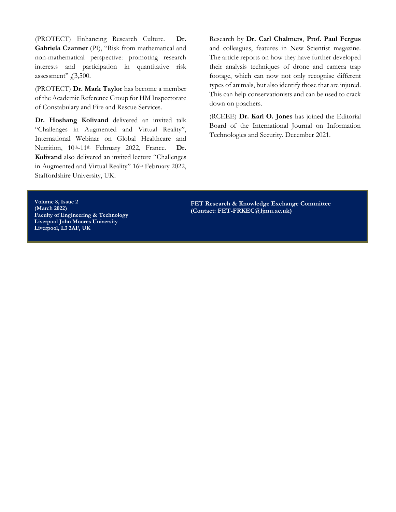(PROTECT) Enhancing Research Culture. **Dr. Gabriela Czanner** (PI), "Risk from mathematical and non-mathematical perspective: promoting research interests and participation in quantitative risk assessment"  $f$ , 3, 500.

(PROTECT) **Dr. Mark Taylor** has become a member of the Academic Reference Group for HM Inspectorate of Constabulary and Fire and Rescue Services.

**Dr. Hoshang Kolivand** delivered an invited talk "Challenges in Augmented and Virtual Reality", International Webinar on Global Healthcare and Nutrition, 10th-11th February 2022, France. **Dr. Kolivand** also delivered an invited lecture "Challenges in Augmented and Virtual Reality" 16th February 2022, Staffordshire University, UK.

Research by **Dr. Carl Chalmers**, **Prof. Paul Fergus** and colleagues, features in New Scientist magazine. The article reports on how they have further developed their analysis techniques of drone and camera trap footage, which can now not only recognise different types of animals, but also identify those that are injured. This can help conservationists and can be used to crack down on poachers.

(RCEEE) **Dr. Karl O. Jones** has joined the Editorial Board of the International Journal on Information Technologies and Security. December 2021.

**Volume 8, Issue 2 (March 2022) Faculty of Engineering & Technology Liverpool John Moores University Liverpool, L3 3AF, UK**

**FET Research & Knowledge Exchange Committee (Contact: FET-FRKEC@ljmu.ac.uk)**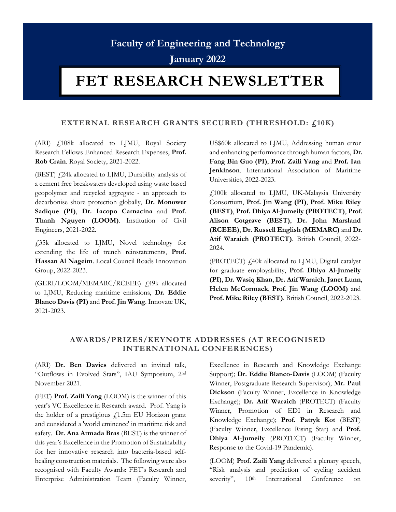# **Faculty of Engineering and Technology**

**January 2022**

# **FET RESEARCH NEWSLETTER**

# **EXTERNAL RESEARCH GRANTS SECURED (THRESHOLD: £10K)**

(ARI) £108k allocated to LJMU, Royal Society Research Fellows Enhanced Research Expenses, **Prof. Rob Crain**. Royal Society, 2021-2022.

(BEST)  $f$ <sub>24k</sub> allocated to LJMU, Durability analysis of a cement free breakwaters developed using waste based geopolymer and recycled aggregate - an approach to decarbonise shore protection globally, **Dr. Monower Sadique (PI)**, **Dr. Iacopo Carnacina** and **Prof. Thanh Nguyen (LOOM)**. Institution of Civil Engineers, 2021-2022.

£35k allocated to LJMU, Novel technology for extending the life of trench reinstatements, **Prof. Hassan Al Nageim**. Local Council Roads Innovation Group, 2022-2023.

(GERI/LOOM/MEMARC/RCEEE) £49k allocated to LJMU, Reducing maritime emissions, **Dr. Eddie Blanco Davis (PI)** and **Prof. Jin Wang**. Innovate UK, 2021-2023.

US\$60k allocated to LJMU, Addressing human error and enhancing performance through human factors, **Dr. Fang Bin Guo (PI)**, **Prof. Zaili Yang** and **Prof. Ian Jenkinson**. International Association of Maritime Universities, 2022-2023.

£100k allocated to LJMU, UK-Malaysia University Consortium, **Prof. Jin Wang (PI)**, **Prof. Mike Riley (BEST)**, **Prof. Dhiya Al-Jumeily (PROTECT)**, **Prof. Alison Cotgrave (BEST)**, **Dr. John Marsland (RCEEE)**, **Dr. Russell English (MEMARC)** and **Dr. Atif Waraich (PROTECT)**. British Council, 2022- 2024.

(PROTECT) £40k allocated to LJMU, Digital catalyst for graduate employability, **Prof. Dhiya Al-Jumeily (PI)**, **Dr. Wasiq Khan**, **Dr. Atif Waraich**, **Janet Lunn**, **Helen McCormack**, **Prof. Jin Wang (LOOM)** and **Prof. Mike Riley (BEST)**. British Council, 2022-2023.

# **AWARDS/PRIZES/KEYNOTE ADDRESSES (AT RECOGNISED INTERNATIONAL CONFERENCES)**

(ARI) **Dr. Ben Davies** delivered an invited talk, "Outflows in Evolved Stars", IAU Symposium, 2nd November 2021.

(FET) **Prof. Zaili Yang** (LOOM) is the winner of this year's VC Excellence in Research award. Prof. Yang is the holder of a prestigious  $f$ 1.5m EU Horizon grant and considered a 'world eminence' in maritime risk and safety. **Dr. Ana Armada Bras** (BEST) is the winner of this year's Excellence in the Promotion of Sustainability for her innovative research into bacteria-based selfhealing construction materials. The following were also recognised with Faculty Awards: FET's Research and Enterprise Administration Team (Faculty Winner, Excellence in Research and Knowledge Exchange Support); **Dr. Eddie Blanco-Davis** (LOOM) (Faculty Winner, Postgraduate Research Supervisor); **Mr. Paul Dickson** (Faculty Winner, Excellence in Knowledge Exchange); **Dr. Atif Waraich** (PROTECT) (Faculty Winner, Promotion of EDI in Research and Knowledge Exchange); **Prof. Patryk Kot** (BEST) (Faculty Winner, Excellence Rising Star) and **Prof. Dhiya Al-Jumeily** (PROTECT) (Faculty Winner, Response to the Covid-19 Pandemic).

(LOOM) **Prof. Zaili Yang** delivered a plenary speech, "Risk analysis and prediction of cycling accident severity",  $10<sup>th</sup>$  International Conference on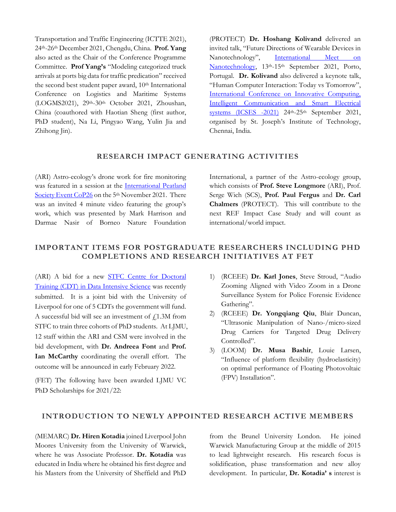Transportation and Traffic Engineering (ICTTE 2021), 24th-26th December 2021, Chengdu, China. **Prof. Yang** also acted as the Chair of the Conference Programme Committee. **Prof Yang's** "Modeling categorized truck arrivals at ports big data for traffic predication" received the second best student paper award, 10<sup>th</sup> International Conference on Logistics and Maritime Systems (LOGMS2021), 29th-30th October 2021, Zhoushan, China (coauthored with Haotian Sheng (first author, PhD student), Na Li, Pingyao Wang, Yulin Jia and Zhihong Jin).

(PROTECT) **Dr. Hoshang Kolivand** delivered an invited talk, "Future Directions of Wearable Devices in Nanotechnology", International Meet on [Nanotechnology,](https://www.albedomeetings.com/nanomeet/index.php#speakers) 13<sup>th</sup>-15<sup>th</sup> September 2021, Porto, Portugal. **Dr. Kolivand** also delivered a keynote talk, "Human Computer Interaction: Today vs Tomorrow", [International Conference on Innovative Computing,](https://icses2021.stjosephstechnology.ac.in/speaker.html)  [Intelligent Communication and Smart Electrical](https://icses2021.stjosephstechnology.ac.in/speaker.html)  systems  $(ICSES -2021)$  24<sup>th</sup>-25<sup>th</sup> September 2021, organised by St. Joseph's Institute of Technology, Chennai, India.

# **RESEARCH IMPACT GENERATING ACTIVITIES**

(ARI) Astro-ecology's drone work for fire monitoring was featured in a session at the [International Peatland](https://peatlands.org/ips-networking-event-5-november/)  [Society Event CoP26](https://peatlands.org/ips-networking-event-5-november/) on the 5<sup>th</sup> November 2021. There was an invited 4 minute video featuring the group's work, which was presented by Mark Harrison and Darmae Nasir of Borneo Nature Foundation

International, a partner of the Astro-ecology group, which consists of **Prof. Steve Longmore** (ARI), Prof. Serge Wich (SCS), **Prof. Paul Fergus** and **Dr. Carl Chalmers** (PROTECT). This will contribute to the next REF Impact Case Study and will count as international/world impact.

# **IMPORTANT ITEMS FOR POSTGRADUATE RESEARCHERS INCLUDING PHD COMPLETIONS AND RESEARCH INITIATIVES AT FET**

(ARI) A bid for a new [STFC Centre for Doctoral](https://www.ukri.org/opportunity/set-up-a-centre-for-doctoral-training-in-data-intensive-science/)  [Training \(CDT\) in Data Intensive Science](https://www.ukri.org/opportunity/set-up-a-centre-for-doctoral-training-in-data-intensive-science/) was recently submitted. It is a joint bid with the University of Liverpool for one of 5 CDTs the government will fund. A successful bid will see an investment of  $f$ 1.3M from STFC to train three cohorts of PhD students. At LJMU, 12 staff within the ARI and CSM were involved in the bid development, with **Dr. Andreea Font** and **Prof. Ian McCarthy** coordinating the overall effort. The outcome will be announced in early February 2022.

(FET) The following have been awarded LJMU VC PhD Scholarships for 2021/22:

- 1) (RCEEE) **Dr. Karl Jones**, Steve Stroud, "Audio Zooming Aligned with Video Zoom in a Drone Surveillance System for Police Forensic Evidence Gathering".
- 2) (RCEEE) **Dr. Yongqiang Qiu**, Blair Duncan, "Ultrasonic Manipulation of Nano-/micro-sized Drug Carriers for Targeted Drug Delivery Controlled".
- 3) (LOOM) **Dr. Musa Bashir**, Louie Larsen, "Influence of platform flexibility (hydroelasticity) on optimal performance of Floating Photovoltaic (FPV) Installation".

### **INTRODUCTION TO NEWLY APPOINTED RESEARCH ACTIVE MEMBERS**

(MEMARC) **Dr. Hiren Kotadia** joined Liverpool John Moores University from the University of Warwick, where he was Associate Professor. **Dr. Kotadia** was educated in India where he obtained his first degree and his Masters from the University of Sheffield and PhD

from the Brunel University London. He joined Warwick Manufacturing Group at the middle of 2015 to lead lightweight research. His research focus is solidification, phase transformation and new alloy development. In particular, **Dr. Kotadia' s** interest is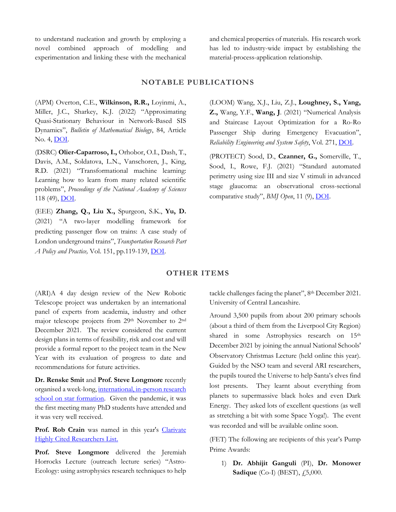to understand nucleation and growth by employing a novel combined approach of modelling and experimentation and linking these with the mechanical

and chemical properties of materials. His research work has led to industry-wide impact by establishing the material-process-application relationship.

#### **NOTABLE PUBLICATIONS**

(APM) Overton, C.E., **Wilkinson, R.R.,** Loyinmi, A., Miller, J.C., Sharkey, K.J. (2022) "Approximating Quasi-Stationary Behaviour in Network-Based SIS Dynamics", *Bulletin of Mathematical Biology*, 84, Article No. 4, [DOI.](https://link.springer.com/article/10.1007/s11538-021-00964-7) 

(DSRC) **Olier-Caparroso, I.,** Orhobor, O.I., Dash, T., Davis, A.M., Soldatova, L.N., Vanschoren, J., King, R.D. (2021) "Transformational machine learning: Learning how to learn from many related scientific problems", *Proceedings of the National Academy of Sciences*  118 (49), [DOI.](https://www.pnas.org/content/118/49/e2108013118)

(EEE) **Zhang, Q., Liu X.,** Spurgeon, S.K., **Yu, D.** (2021) "A two-layer modelling framework for predicting passenger flow on trains: A case study of London underground trains", *Transportation Research Part A Policy and Practice,* Vol. 151, pp.119-139, [DOI.](https://www.sciencedirect.com/science/article/abs/pii/S096585642100183X?via%3Dihub) 

(LOOM) Wang, X.J., Liu, Z.J., **Loughney, S., Yang, Z.,** Wang, Y.F., **Wang, J**. (2021) "Numerical Analysis and Staircase Layout Optimization for a Ro-Ro Passenger Ship during Emergency Evacuation", *Reliability Engineering and System Safety*, Vol. 271, [DOI.](https://www.sciencedirect.com/science/article/abs/pii/S0951832021005585#!)

(PROTECT) Sood, D., **Czanner, G.,** Somerville, T., Sood, I., Rowe, F.J. (2021) "Standard automated perimetry using size III and size V stimuli in advanced stage glaucoma: an observational cross-sectional comparative study", *BMJ Open*, 11 (9), **DOI**.

#### **OTHER ITEMS**

(ARI)A 4 day design review of the New Robotic Telescope project was undertaken by an international panel of experts from academia, industry and other major telescope projects from 29th November to 2nd December 2021. The review considered the current design plans in terms of feasibility, risk and cost and will provide a formal report to the project team in the New Year with its evaluation of progress to date and recommendations for future activities.

**Dr. Renske Smit** and **Prof. Steve Longmore** recently organised a week-long, [international, in-person research](https://www.granadacongresos.com/starform)  [school on star formation.](https://www.granadacongresos.com/starform) Given the pandemic, it was the first meeting many PhD students have attended and it was very well received.

Prof. Rob Crain was named in this year's Clarivate [Highly Cited Researchers List.](https://clarivate.com/news/clarivate-identifies-the-one-in-1000-citation-elite-with-annual-highly-cited-researchers-list/)

**Prof. Steve Longmore** delivered the Jeremiah Horrocks Lecture (outreach lecture series) "Astro-Ecology: using astrophysics research techniques to help tackle challenges facing the planet", 8th December 2021. University of Central Lancashire.

Around 3,500 pupils from about 200 primary schools (about a third of them from the Liverpool City Region) shared in some Astrophysics research on 15<sup>th</sup> December 2021 by joining the annual National Schools' Observatory Christmas Lecture (held online this year). Guided by the NSO team and several ARI researchers, the pupils toured the Universe to help Santa's elves find lost presents. They learnt about everything from planets to supermassive black holes and even Dark Energy. They asked lots of excellent questions (as well as stretching a bit with some Space Yoga!). The event was recorded and will be available online soon.

(FET) The following are recipients of this year's Pump Prime Awards:

1) **Dr. Abhijit Ganguli** (PI), **Dr. Monower Sadique** (Co-I) (BEST), £5,000.